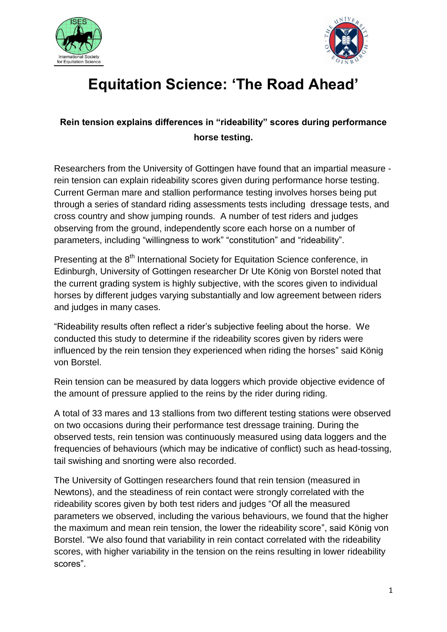



## **Equitation Science: 'The Road Ahead'**

## **Rein tension explains differences in "rideability" scores during performance horse testing.**

Researchers from the University of Gottingen have found that an impartial measure rein tension can explain rideability scores given during performance horse testing. Current German mare and stallion performance testing involves horses being put through a series of standard riding assessments tests including dressage tests, and cross country and show jumping rounds. A number of test riders and judges observing from the ground, independently score each horse on a number of parameters, including "willingness to work" "constitution" and "rideability".

Presenting at the 8<sup>th</sup> International Society for Equitation Science conference, in Edinburgh, University of Gottingen researcher Dr Ute König von Borstel noted that the current grading system is highly subjective, with the scores given to individual horses by different judges varying substantially and low agreement between riders and judges in many cases.

"Rideability results often reflect a rider's subjective feeling about the horse. We conducted this study to determine if the rideability scores given by riders were influenced by the rein tension they experienced when riding the horses" said König von Borstel.

Rein tension can be measured by data loggers which provide objective evidence of the amount of pressure applied to the reins by the rider during riding.

A total of 33 mares and 13 stallions from two different testing stations were observed on two occasions during their performance test dressage training. During the observed tests, rein tension was continuously measured using data loggers and the frequencies of behaviours (which may be indicative of conflict) such as head-tossing, tail swishing and snorting were also recorded.

The University of Gottingen researchers found that rein tension (measured in Newtons), and the steadiness of rein contact were strongly correlated with the rideability scores given by both test riders and judges "Of all the measured parameters we observed, including the various behaviours, we found that the higher the maximum and mean rein tension, the lower the rideability score", said König von Borstel. "We also found that variability in rein contact correlated with the rideability scores, with higher variability in the tension on the reins resulting in lower rideability scores".